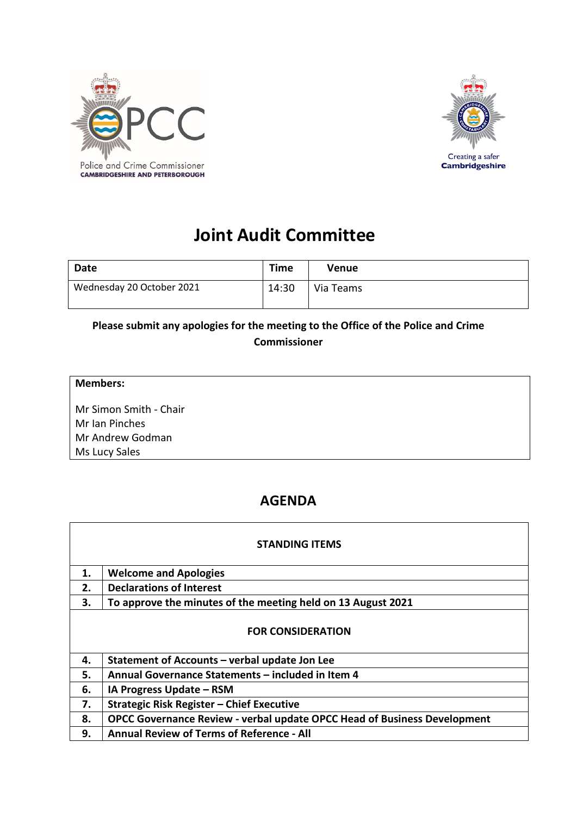



## **Joint Audit Committee**

| Date                      | <b>Time</b> | Venue     |
|---------------------------|-------------|-----------|
| Wednesday 20 October 2021 | 14:30       | Via Teams |

## **Please submit any apologies for the meeting to the Office of the Police and Crime Commissioner**

| <b>Members:</b>        |  |
|------------------------|--|
| Mr Simon Smith - Chair |  |
| Mr Ian Pinches         |  |
| Mr Andrew Godman       |  |
| Ms Lucy Sales          |  |

## **AGENDA**

| <b>STANDING ITEMS</b>    |                                                                          |  |
|--------------------------|--------------------------------------------------------------------------|--|
| 1.                       | <b>Welcome and Apologies</b>                                             |  |
| 2.                       | <b>Declarations of Interest</b>                                          |  |
| З.                       | To approve the minutes of the meeting held on 13 August 2021             |  |
| <b>FOR CONSIDERATION</b> |                                                                          |  |
| 4.                       | Statement of Accounts - verbal update Jon Lee                            |  |
| 5.                       | Annual Governance Statements - included in Item 4                        |  |
| 6.                       | IA Progress Update - RSM                                                 |  |
| 7.                       | Strategic Risk Register - Chief Executive                                |  |
| 8.                       | OPCC Governance Review - verbal update OPCC Head of Business Development |  |
| 9.                       | <b>Annual Review of Terms of Reference - All</b>                         |  |